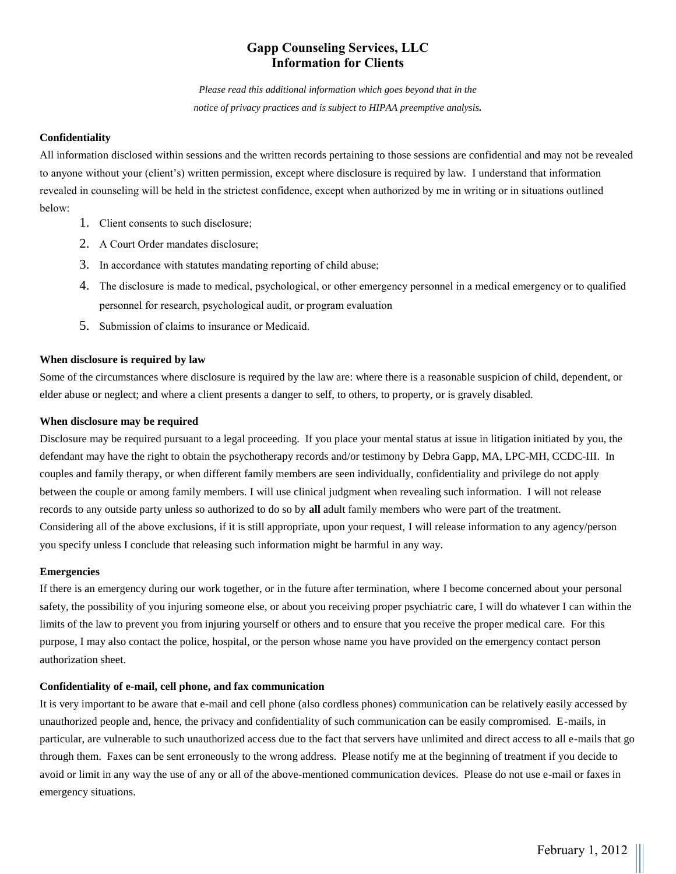# **Gapp Counseling Services, LLC Information for Clients**

*Please read this additional information which goes beyond that in the notice of privacy practices and is subject to HIPAA preemptive analysis.*

## **Confidentiality**

All information disclosed within sessions and the written records pertaining to those sessions are confidential and may not be revealed to anyone without your (client's) written permission, except where disclosure is required by law. I understand that information revealed in counseling will be held in the strictest confidence, except when authorized by me in writing or in situations outlined below:

- 1. Client consents to such disclosure;
- 2. A Court Order mandates disclosure;
- 3. In accordance with statutes mandating reporting of child abuse;
- 4. The disclosure is made to medical, psychological, or other emergency personnel in a medical emergency or to qualified personnel for research, psychological audit, or program evaluation
- 5. Submission of claims to insurance or Medicaid.

## **When disclosure is required by law**

Some of the circumstances where disclosure is required by the law are: where there is a reasonable suspicion of child, dependent, or elder abuse or neglect; and where a client presents a danger to self, to others, to property, or is gravely disabled.

## **When disclosure may be required**

Disclosure may be required pursuant to a legal proceeding. If you place your mental status at issue in litigation initiated by you, the defendant may have the right to obtain the psychotherapy records and/or testimony by Debra Gapp, MA, LPC-MH, CCDC-III. In couples and family therapy, or when different family members are seen individually, confidentiality and privilege do not apply between the couple or among family members. I will use clinical judgment when revealing such information. I will not release records to any outside party unless so authorized to do so by **all** adult family members who were part of the treatment. Considering all of the above exclusions, if it is still appropriate, upon your request, I will release information to any agency/person you specify unless I conclude that releasing such information might be harmful in any way.

### **Emergencies**

If there is an emergency during our work together, or in the future after termination, where I become concerned about your personal safety, the possibility of you injuring someone else, or about you receiving proper psychiatric care, I will do whatever I can within the limits of the law to prevent you from injuring yourself or others and to ensure that you receive the proper medical care. For this purpose, I may also contact the police, hospital, or the person whose name you have provided on the emergency contact person authorization sheet.

## **Confidentiality of e-mail, cell phone, and fax communication**

It is very important to be aware that e-mail and cell phone (also cordless phones) communication can be relatively easily accessed by unauthorized people and, hence, the privacy and confidentiality of such communication can be easily compromised. E-mails, in particular, are vulnerable to such unauthorized access due to the fact that servers have unlimited and direct access to all e-mails that go through them. Faxes can be sent erroneously to the wrong address. Please notify me at the beginning of treatment if you decide to avoid or limit in any way the use of any or all of the above-mentioned communication devices. Please do not use e-mail or faxes in emergency situations.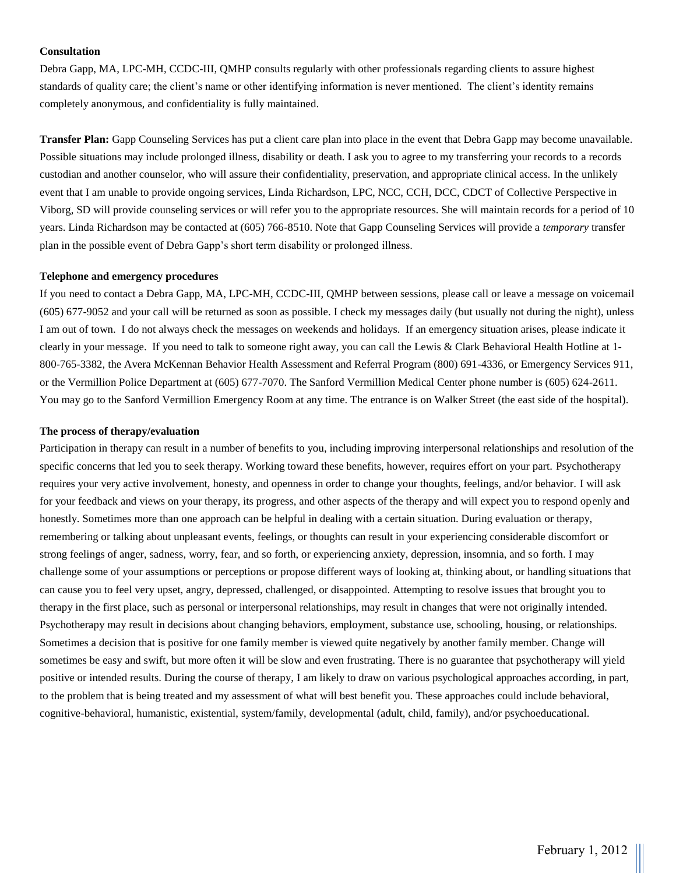## **Consultation**

Debra Gapp, MA, LPC-MH, CCDC-III, QMHP consults regularly with other professionals regarding clients to assure highest standards of quality care; the client's name or other identifying information is never mentioned. The client's identity remains completely anonymous, and confidentiality is fully maintained.

**Transfer Plan:** Gapp Counseling Services has put a client care plan into place in the event that Debra Gapp may become unavailable. Possible situations may include prolonged illness, disability or death. I ask you to agree to my transferring your records to a records custodian and another counselor, who will assure their confidentiality, preservation, and appropriate clinical access. In the unlikely event that I am unable to provide ongoing services, Linda Richardson, LPC, NCC, CCH, DCC, CDCT of Collective Perspective in Viborg, SD will provide counseling services or will refer you to the appropriate resources. She will maintain records for a period of 10 years. Linda Richardson may be contacted at (605) 766-8510. Note that Gapp Counseling Services will provide a *temporary* transfer plan in the possible event of Debra Gapp's short term disability or prolonged illness.

#### **Telephone and emergency procedures**

If you need to contact a Debra Gapp, MA, LPC-MH, CCDC-III, QMHP between sessions, please call or leave a message on voicemail (605) 677-9052 and your call will be returned as soon as possible. I check my messages daily (but usually not during the night), unless I am out of town. I do not always check the messages on weekends and holidays. If an emergency situation arises, please indicate it clearly in your message. If you need to talk to someone right away, you can call the Lewis & Clark Behavioral Health Hotline at 1- 800-765-3382, the Avera McKennan Behavior Health Assessment and Referral Program (800) 691-4336, or Emergency Services 911, or the Vermillion Police Department at (605) 677-7070. The Sanford Vermillion Medical Center phone number is (605) 624-2611. You may go to the Sanford Vermillion Emergency Room at any time. The entrance is on Walker Street (the east side of the hospital).

#### **The process of therapy/evaluation**

Participation in therapy can result in a number of benefits to you, including improving interpersonal relationships and resolution of the specific concerns that led you to seek therapy. Working toward these benefits, however, requires effort on your part. Psychotherapy requires your very active involvement, honesty, and openness in order to change your thoughts, feelings, and/or behavior. I will ask for your feedback and views on your therapy, its progress, and other aspects of the therapy and will expect you to respond openly and honestly. Sometimes more than one approach can be helpful in dealing with a certain situation. During evaluation or therapy, remembering or talking about unpleasant events, feelings, or thoughts can result in your experiencing considerable discomfort or strong feelings of anger, sadness, worry, fear, and so forth, or experiencing anxiety, depression, insomnia, and so forth. I may challenge some of your assumptions or perceptions or propose different ways of looking at, thinking about, or handling situations that can cause you to feel very upset, angry, depressed, challenged, or disappointed. Attempting to resolve issues that brought you to therapy in the first place, such as personal or interpersonal relationships, may result in changes that were not originally intended. Psychotherapy may result in decisions about changing behaviors, employment, substance use, schooling, housing, or relationships. Sometimes a decision that is positive for one family member is viewed quite negatively by another family member. Change will sometimes be easy and swift, but more often it will be slow and even frustrating. There is no guarantee that psychotherapy will yield positive or intended results. During the course of therapy, I am likely to draw on various psychological approaches according, in part, to the problem that is being treated and my assessment of what will best benefit you. These approaches could include behavioral, cognitive-behavioral, humanistic, existential, system/family, developmental (adult, child, family), and/or psychoeducational.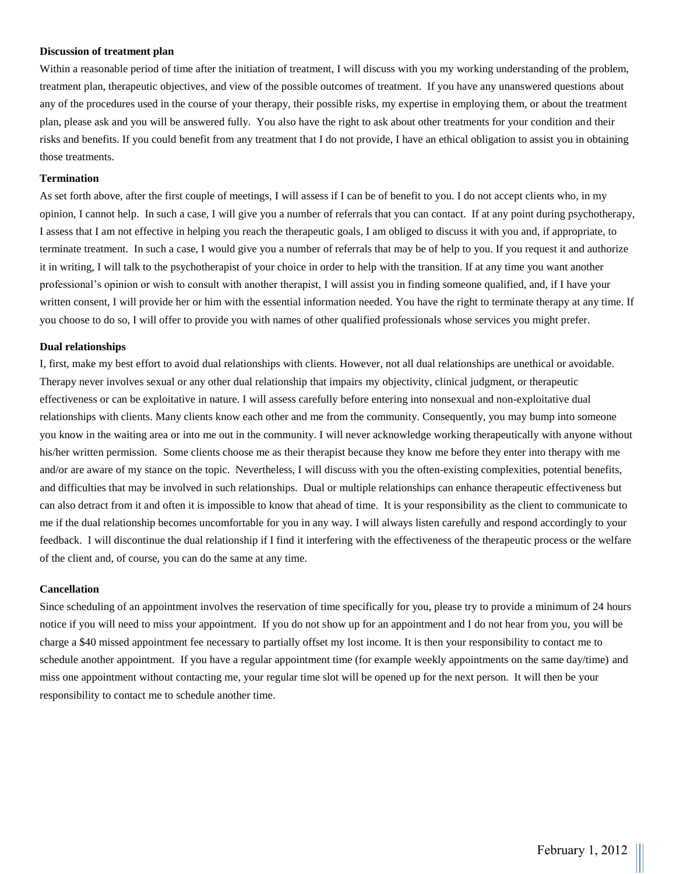### **Discussion of treatment plan**

Within a reasonable period of time after the initiation of treatment, I will discuss with you my working understanding of the problem, treatment plan, therapeutic objectives, and view of the possible outcomes of treatment. If you have any unanswered questions about any of the procedures used in the course of your therapy, their possible risks, my expertise in employing them, or about the treatment plan, please ask and you will be answered fully. You also have the right to ask about other treatments for your condition and their risks and benefits. If you could benefit from any treatment that I do not provide, I have an ethical obligation to assist you in obtaining those treatments.

#### **Termination**

As set forth above, after the first couple of meetings, I will assess if I can be of benefit to you. I do not accept clients who, in my opinion, I cannot help. In such a case, I will give you a number of referrals that you can contact. If at any point during psychotherapy, I assess that I am not effective in helping you reach the therapeutic goals, I am obliged to discuss it with you and, if appropriate, to terminate treatment. In such a case, I would give you a number of referrals that may be of help to you. If you request it and authorize it in writing, I will talk to the psychotherapist of your choice in order to help with the transition. If at any time you want another professional's opinion or wish to consult with another therapist, I will assist you in finding someone qualified, and, if I have your written consent, I will provide her or him with the essential information needed. You have the right to terminate therapy at any time. If you choose to do so, I will offer to provide you with names of other qualified professionals whose services you might prefer.

### **Dual relationships**

I, first, make my best effort to avoid dual relationships with clients. However, not all dual relationships are unethical or avoidable. Therapy never involves sexual or any other dual relationship that impairs my objectivity, clinical judgment, or therapeutic effectiveness or can be exploitative in nature. I will assess carefully before entering into nonsexual and non-exploitative dual relationships with clients. Many clients know each other and me from the community. Consequently, you may bump into someone you know in the waiting area or into me out in the community. I will never acknowledge working therapeutically with anyone without his/her written permission. Some clients choose me as their therapist because they know me before they enter into therapy with me and/or are aware of my stance on the topic. Nevertheless, I will discuss with you the often-existing complexities, potential benefits, and difficulties that may be involved in such relationships. Dual or multiple relationships can enhance therapeutic effectiveness but can also detract from it and often it is impossible to know that ahead of time. It is your responsibility as the client to communicate to me if the dual relationship becomes uncomfortable for you in any way. I will always listen carefully and respond accordingly to your feedback. I will discontinue the dual relationship if I find it interfering with the effectiveness of the therapeutic process or the welfare of the client and, of course, you can do the same at any time.

### **Cancellation**

Since scheduling of an appointment involves the reservation of time specifically for you, please try to provide a minimum of 24 hours notice if you will need to miss your appointment. If you do not show up for an appointment and I do not hear from you, you will be charge a \$40 missed appointment fee necessary to partially offset my lost income. It is then your responsibility to contact me to schedule another appointment. If you have a regular appointment time (for example weekly appointments on the same day/time) and miss one appointment without contacting me, your regular time slot will be opened up for the next person. It will then be your responsibility to contact me to schedule another time.